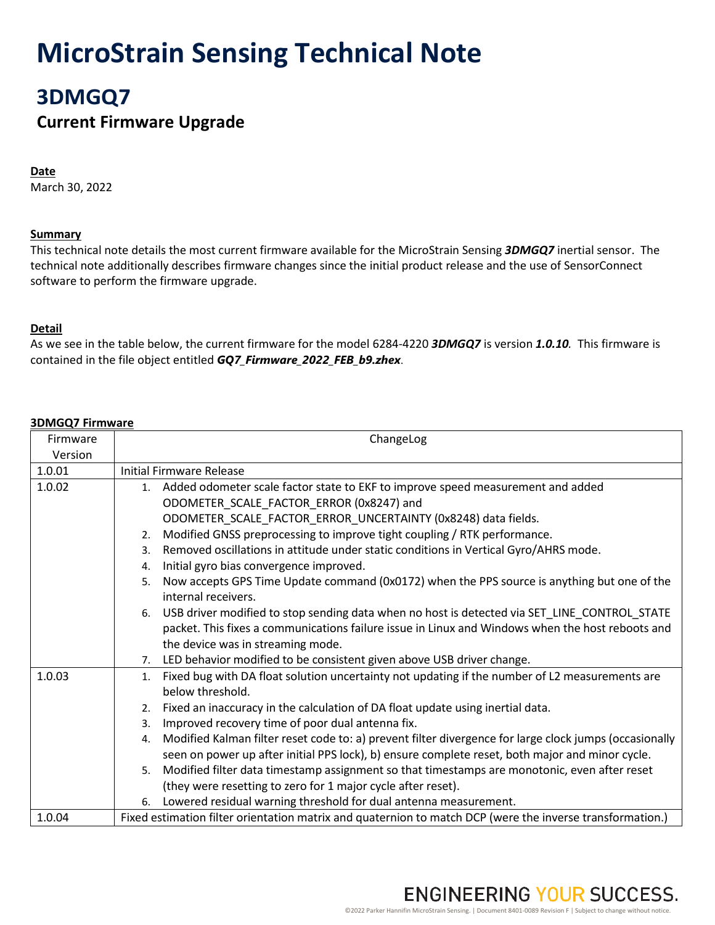# **MicroStrain Sensing Technical Note**

# **3DMGQ7**

### **Current Firmware Upgrade**

#### **Date**

March 30, 2022

#### **Summary**

This technical note details the most current firmware available for the MicroStrain Sensing *3DMGQ7* inertial sensor. The technical note additionally describes firmware changes since the initial product release and the use of SensorConnect software to perform the firmware upgrade.

#### **Detail**

As we see in the table below, the current firmware for the model 6284-4220 *3DMGQ7* is version *1.0.10.* This firmware is contained in the file object entitled *GQ7\_Firmware\_2022\_FEB\_b9.zhex*.

#### **3DMGQ7 Firmware**

| Firmware | ChangeLog                                                                                                    |  |  |
|----------|--------------------------------------------------------------------------------------------------------------|--|--|
| Version  |                                                                                                              |  |  |
| 1.0.01   | <b>Initial Firmware Release</b>                                                                              |  |  |
| 1.0.02   | 1. Added odometer scale factor state to EKF to improve speed measurement and added                           |  |  |
|          | ODOMETER_SCALE_FACTOR_ERROR (0x8247) and                                                                     |  |  |
|          | ODOMETER_SCALE_FACTOR_ERROR_UNCERTAINTY (0x8248) data fields.                                                |  |  |
|          | Modified GNSS preprocessing to improve tight coupling / RTK performance.<br>2.                               |  |  |
|          | Removed oscillations in attitude under static conditions in Vertical Gyro/AHRS mode.<br>3.                   |  |  |
|          | Initial gyro bias convergence improved.<br>4.                                                                |  |  |
|          | Now accepts GPS Time Update command (0x0172) when the PPS source is anything but one of the<br>5.            |  |  |
|          | internal receivers.                                                                                          |  |  |
|          | 6. USB driver modified to stop sending data when no host is detected via SET_LINE_CONTROL_STATE              |  |  |
|          | packet. This fixes a communications failure issue in Linux and Windows when the host reboots and             |  |  |
|          | the device was in streaming mode.                                                                            |  |  |
|          | 7. LED behavior modified to be consistent given above USB driver change.                                     |  |  |
| 1.0.03   | Fixed bug with DA float solution uncertainty not updating if the number of L2 measurements are<br>1.         |  |  |
|          | below threshold.                                                                                             |  |  |
|          | 2. Fixed an inaccuracy in the calculation of DA float update using inertial data.                            |  |  |
|          | Improved recovery time of poor dual antenna fix.<br>3.                                                       |  |  |
|          | Modified Kalman filter reset code to: a) prevent filter divergence for large clock jumps (occasionally<br>4. |  |  |
|          | seen on power up after initial PPS lock), b) ensure complete reset, both major and minor cycle.              |  |  |
|          | Modified filter data timestamp assignment so that timestamps are monotonic, even after reset<br>5.           |  |  |
|          | (they were resetting to zero for 1 major cycle after reset).                                                 |  |  |
|          | Lowered residual warning threshold for dual antenna measurement.<br>6.                                       |  |  |
| 1.0.04   | Fixed estimation filter orientation matrix and quaternion to match DCP (were the inverse transformation.)    |  |  |